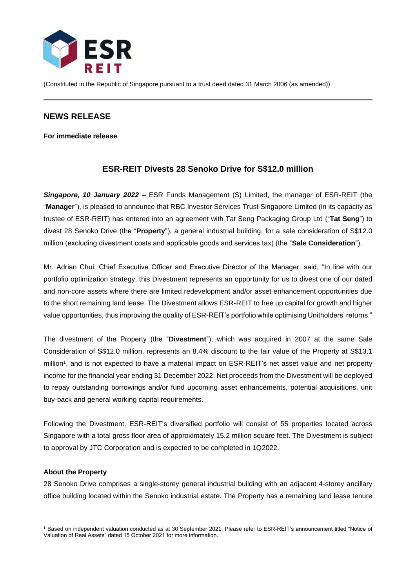

(Constituted in the Republic of Singapore pursuant to a trust deed dated 31 March 2006 (as amended))

## **NEWS RELEASE**

**For immediate release**

# **ESR-REIT Divests 28 Senoko Drive for S\$12.0 million**

*Singapore, 10 January 2022* – ESR Funds Management (S) Limited, the manager of ESR-REIT (the "**Manager**"), is pleased to announce that RBC Investor Services Trust Singapore Limited (in its capacity as trustee of ESR-REIT) has entered into an agreement with Tat Seng Packaging Group Ltd ("**Tat Seng**") to divest 28 Senoko Drive (the "**Property**"), a general industrial building, for a sale consideration of S\$12.0 million (excluding divestment costs and applicable goods and services tax) (the "**Sale Consideration**").

Mr. Adrian Chui, Chief Executive Officer and Executive Director of the Manager, said, "In line with our portfolio optimization strategy, this Divestment represents an opportunity for us to divest one of our dated and non-core assets where there are limited redevelopment and/or asset enhancement opportunities due to the short remaining land lease. The Divestment allows ESR-REIT to free up capital for growth and higher value opportunities, thus improving the quality of ESR-REIT's portfolio while optimising Unitholders' returns."

The divestment of the Property (the "**Divestment**"), which was acquired in 2007 at the same Sale Consideration of S\$12.0 million, represents an 8.4% discount to the fair value of the Property at S\$13.1 million<sup>1</sup>, and is not expected to have a material impact on ESR-REIT's net asset value and net property income for the financial year ending 31 December 2022. Net proceeds from the Divestment will be deployed to repay outstanding borrowings and/or fund upcoming asset enhancements, potential acquisitions, unit buy-back and general working capital requirements.

Following the Divestment, ESR-REIT's diversified portfolio will consist of 55 properties located across Singapore with a total gross floor area of approximately 15.2 million square feet. The Divestment is subject to approval by JTC Corporation and is expected to be completed in 1Q2022.

### **About the Property**

28 Senoko Drive comprises a single-storey general industrial building with an adjacent 4-storey ancillary office building located within the Senoko industrial estate. The Property has a remaining land lease tenure

<sup>1</sup> Based on independent valuation conducted as at 30 September 2021. Please refer to ESR-REIT's announcement titled "Notice of Valuation of Real Assets" dated 15 October 2021 for more information.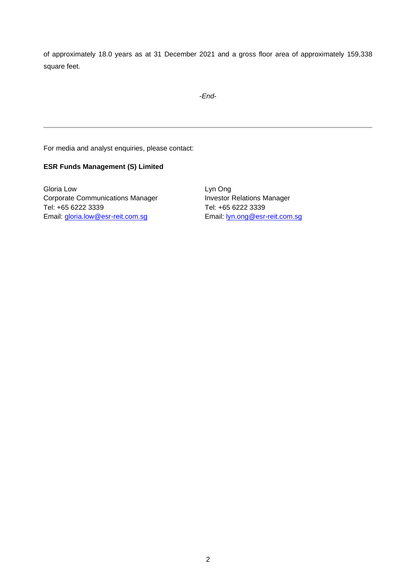of approximately 18.0 years as at 31 December 2021 and a gross floor area of approximately 159,338 square feet.

-*End*-

For media and analyst enquiries, please contact:

#### **ESR Funds Management (S) Limited**

Gloria Low Corporate Communications Manager Tel: +65 6222 3339 Email: [gloria.low@esr-reit.com.sg](mailto:gloria.low@esr-reit.com.sg)

Lyn Ong Investor Relations Manager Tel: +65 6222 3339 Email: [lyn.ong@esr-reit.com.sg](mailto:lyn.ong@esr-reit.com.sg)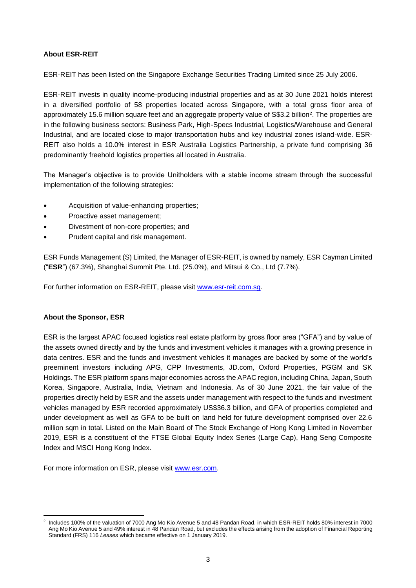### **About ESR-REIT**

ESR-REIT has been listed on the Singapore Exchange Securities Trading Limited since 25 July 2006.

ESR-REIT invests in quality income-producing industrial properties and as at 30 June 2021 holds interest in a diversified portfolio of 58 properties located across Singapore, with a total gross floor area of approximately 15.6 million square feet and an aggregate property value of S\$3.2 billion<sup>2</sup>. The properties are in the following business sectors: Business Park, High-Specs Industrial, Logistics/Warehouse and General Industrial, and are located close to major transportation hubs and key industrial zones island-wide. ESR-REIT also holds a 10.0% interest in ESR Australia Logistics Partnership, a private fund comprising 36 predominantly freehold logistics properties all located in Australia.

The Manager's objective is to provide Unitholders with a stable income stream through the successful implementation of the following strategies:

- Acquisition of value-enhancing properties;
- Proactive asset management;
- Divestment of non-core properties; and
- Prudent capital and risk management.

ESR Funds Management (S) Limited, the Manager of ESR-REIT, is owned by namely, ESR Cayman Limited ("**ESR**") (67.3%), Shanghai Summit Pte. Ltd. (25.0%), and Mitsui & Co., Ltd (7.7%).

For further information on ESR-REIT, please visit [www.esr-reit.com.sg.](http://www.esr-reit.com.sg/)

### **About the Sponsor, ESR**

ESR is the largest APAC focused logistics real estate platform by gross floor area ("GFA") and by value of the assets owned directly and by the funds and investment vehicles it manages with a growing presence in data centres. ESR and the funds and investment vehicles it manages are backed by some of the world's preeminent investors including APG, CPP Investments, JD.com, Oxford Properties, PGGM and SK Holdings. The ESR platform spans major economies across the APAC region, including China, Japan, South Korea, Singapore, Australia, India, Vietnam and Indonesia. As of 30 June 2021, the fair value of the properties directly held by ESR and the assets under management with respect to the funds and investment vehicles managed by ESR recorded approximately US\$36.3 billion, and GFA of properties completed and under development as well as GFA to be built on land held for future development comprised over 22.6 million sqm in total. Listed on the Main Board of The Stock Exchange of Hong Kong Limited in November 2019, ESR is a constituent of the FTSE Global Equity Index Series (Large Cap), Hang Seng Composite Index and MSCI Hong Kong Index.

For more information on ESR, please visit [www.esr.com.](https://apc01.safelinks.protection.outlook.com/?url=http%3A%2F%2Fwww.esr.com&data=02%7C01%7Cgloria.low%40esr-reit.com.sg%7Cb18ed7da682643de8b7008d766916f05%7C6ed733c0622d401d8f49b2984c7d765f%7C0%7C0%7C637090647129612986&sdata=hiUu8gk6thHcFkbiXEp08i9y2Ux64on2c0ivRFvmSek%3D&reserved=0)

<sup>2</sup> Includes 100% of the valuation of 7000 Ang Mo Kio Avenue 5 and 48 Pandan Road, in which ESR-REIT holds 80% interest in 7000 Ang Mo Kio Avenue 5 and 49% interest in 48 Pandan Road, but excludes the effects arising from the adoption of Financial Reporting Standard (FRS) 116 *Leases* which became effective on 1 January 2019.